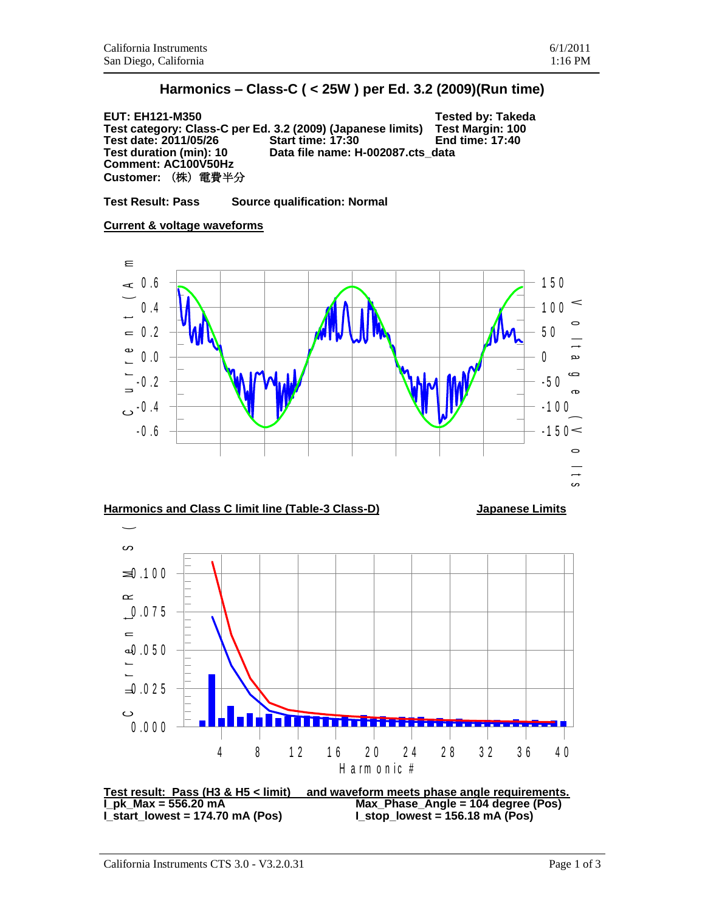**EUT: EH121-M350 Tested by: Takeda Test category: Class-C per Ed. 3.2 (2009) (Japanese limits) Test Margin: 100 Test date: 2011/05/26 Start time: 17:30 End time: 17:40 Test duration (min): 10 Data file name: H-002087.cts\_data Comment: AC100V50Hz Customer:** (株)電費半分

**Test Result: Pass Source qualification: Normal**



## **Harmonics and Class C limit line (Table-3 Class-D) Japanese Limits**



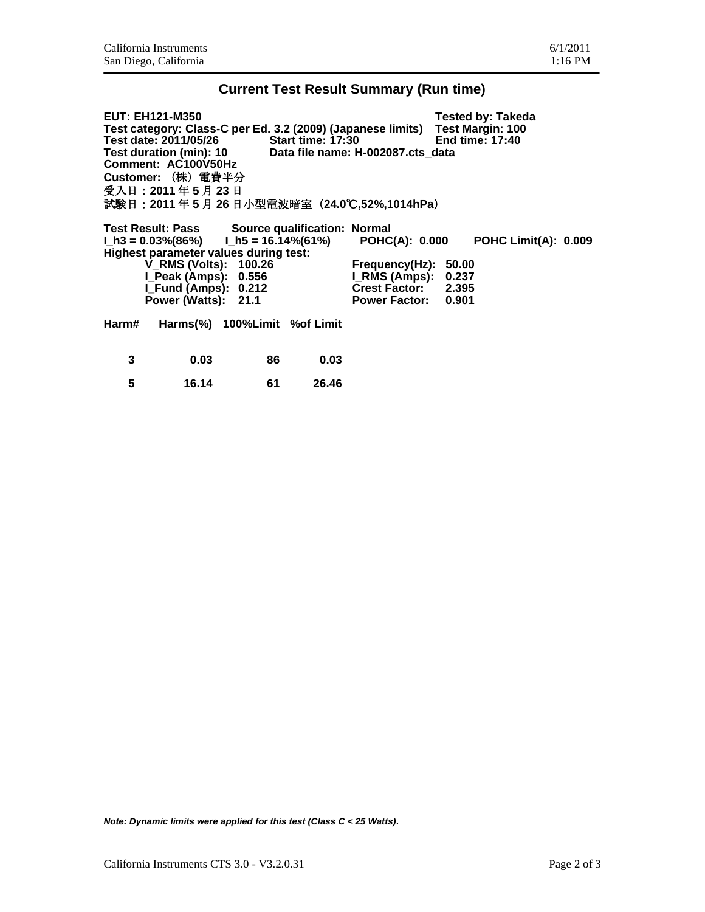## **Current Test Result Summary (Run time)**

| <b>EUT: EH121-M350</b>                                       |                                                |                          |                                                                              |                      |                 | <b>Tested by: Takeda</b>    |  |  |  |  |
|--------------------------------------------------------------|------------------------------------------------|--------------------------|------------------------------------------------------------------------------|----------------------|-----------------|-----------------------------|--|--|--|--|
|                                                              |                                                |                          | Test category: Class-C per Ed. 3.2 (2009) (Japanese limits) Test Margin: 100 |                      |                 |                             |  |  |  |  |
|                                                              | Test date: 2011/05/26                          | <b>Start time: 17:30</b> |                                                                              |                      | End time: 17:40 |                             |  |  |  |  |
| Test duration (min): 10<br>Data file name: H-002087.cts data |                                                |                          |                                                                              |                      |                 |                             |  |  |  |  |
|                                                              | Comment: AC100V50Hz                            |                          |                                                                              |                      |                 |                             |  |  |  |  |
|                                                              | Customer: (株) 電費半分                             |                          |                                                                              |                      |                 |                             |  |  |  |  |
|                                                              | 受入日: 2011年5月23日                                |                          |                                                                              |                      |                 |                             |  |  |  |  |
| 試験日: 2011年5月 26日小型電波暗室 (24.0℃,52%,1014hPa)                   |                                                |                          |                                                                              |                      |                 |                             |  |  |  |  |
|                                                              | Test Result: Pass Source qualification: Normal |                          |                                                                              |                      |                 |                             |  |  |  |  |
|                                                              | $l_1h3 = 0.03\%(86\%)$ $l_1h5 = 16.14\%(61\%)$ |                          |                                                                              | POHC(A): 0.000       |                 | <b>POHC Limit(A): 0.009</b> |  |  |  |  |
|                                                              | Highest parameter values during test:          |                          |                                                                              |                      |                 |                             |  |  |  |  |
|                                                              | <b>V_RMS (Volts): 100.26</b>                   |                          |                                                                              | Frequency(Hz):       | 50.00           |                             |  |  |  |  |
|                                                              | I_Peak (Amps): 0.556                           |                          |                                                                              | <b>I_RMS (Amps):</b> | 0.237           |                             |  |  |  |  |
|                                                              | I_Fund (Amps): 0.212                           |                          |                                                                              | Crest Factor: 2.395  |                 |                             |  |  |  |  |
|                                                              | Power (Watts): 21.1                            |                          |                                                                              | Power Factor: 0.901  |                 |                             |  |  |  |  |
| Harm#                                                        | Harms(%) 100%Limit %of Limit                   |                          |                                                                              |                      |                 |                             |  |  |  |  |
| 3                                                            | 0.03                                           | 86                       | 0.03                                                                         |                      |                 |                             |  |  |  |  |
| 5                                                            | 16.14                                          | 61                       | 26.46                                                                        |                      |                 |                             |  |  |  |  |

*Note: Dynamic limits were applied for this test (Class C < 25 Watts).*